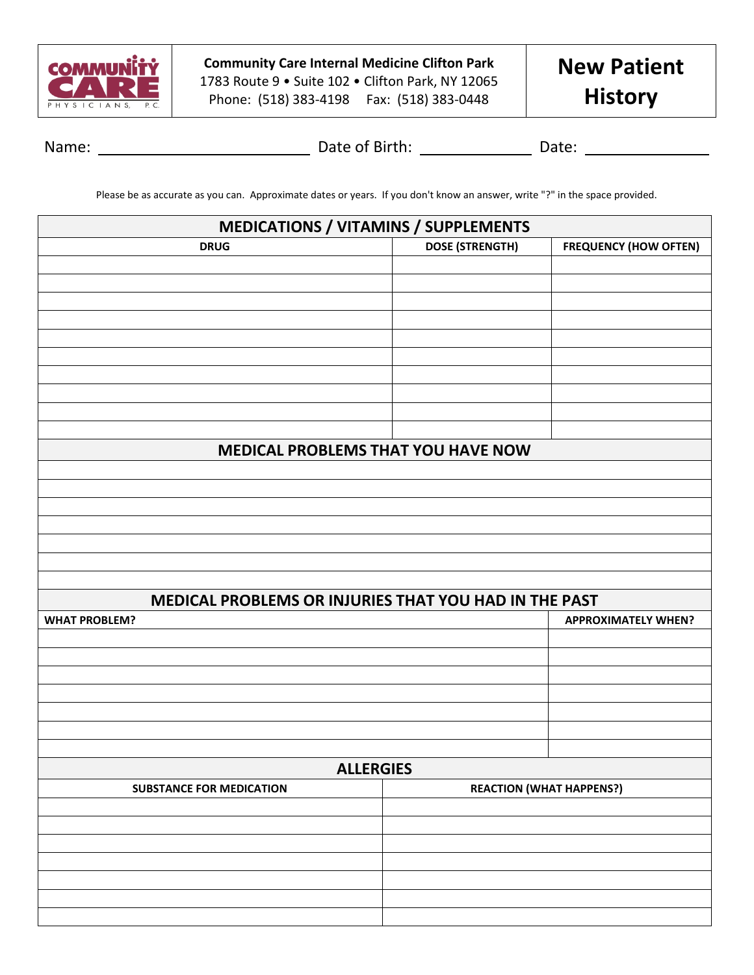

**Community Care Internal Medicine Clifton Park** 1783 Route 9 • Suite 102 • Clifton Park, NY 12065 Phone: (518) 383-4198 Fax: (518) 383-0448

Name: Date of Birth: Date:

Please be as accurate as you can. Approximate dates or years. If you don't know an answer, write "?" in the space provided.

| <b>DOSE (STRENGTH)</b><br><b>FREQUENCY (HOW OFTEN)</b><br><b>DRUG</b><br>MEDICAL PROBLEMS THAT YOU HAVE NOW |  |  |  |  |  |  |  |  |
|-------------------------------------------------------------------------------------------------------------|--|--|--|--|--|--|--|--|
|                                                                                                             |  |  |  |  |  |  |  |  |
|                                                                                                             |  |  |  |  |  |  |  |  |
|                                                                                                             |  |  |  |  |  |  |  |  |
|                                                                                                             |  |  |  |  |  |  |  |  |
|                                                                                                             |  |  |  |  |  |  |  |  |
|                                                                                                             |  |  |  |  |  |  |  |  |
|                                                                                                             |  |  |  |  |  |  |  |  |
|                                                                                                             |  |  |  |  |  |  |  |  |
|                                                                                                             |  |  |  |  |  |  |  |  |
|                                                                                                             |  |  |  |  |  |  |  |  |
|                                                                                                             |  |  |  |  |  |  |  |  |
|                                                                                                             |  |  |  |  |  |  |  |  |
|                                                                                                             |  |  |  |  |  |  |  |  |
|                                                                                                             |  |  |  |  |  |  |  |  |
|                                                                                                             |  |  |  |  |  |  |  |  |
|                                                                                                             |  |  |  |  |  |  |  |  |
|                                                                                                             |  |  |  |  |  |  |  |  |
|                                                                                                             |  |  |  |  |  |  |  |  |
| MEDICAL PROBLEMS OR INJURIES THAT YOU HAD IN THE PAST                                                       |  |  |  |  |  |  |  |  |
| <b>WHAT PROBLEM?</b><br><b>APPROXIMATELY WHEN?</b>                                                          |  |  |  |  |  |  |  |  |
|                                                                                                             |  |  |  |  |  |  |  |  |
|                                                                                                             |  |  |  |  |  |  |  |  |
|                                                                                                             |  |  |  |  |  |  |  |  |
|                                                                                                             |  |  |  |  |  |  |  |  |
|                                                                                                             |  |  |  |  |  |  |  |  |
|                                                                                                             |  |  |  |  |  |  |  |  |
| <b>ALLERGIES</b>                                                                                            |  |  |  |  |  |  |  |  |
| <b>REACTION (WHAT HAPPENS?)</b><br><b>SUBSTANCE FOR MEDICATION</b>                                          |  |  |  |  |  |  |  |  |
|                                                                                                             |  |  |  |  |  |  |  |  |
|                                                                                                             |  |  |  |  |  |  |  |  |
|                                                                                                             |  |  |  |  |  |  |  |  |
|                                                                                                             |  |  |  |  |  |  |  |  |
|                                                                                                             |  |  |  |  |  |  |  |  |
|                                                                                                             |  |  |  |  |  |  |  |  |